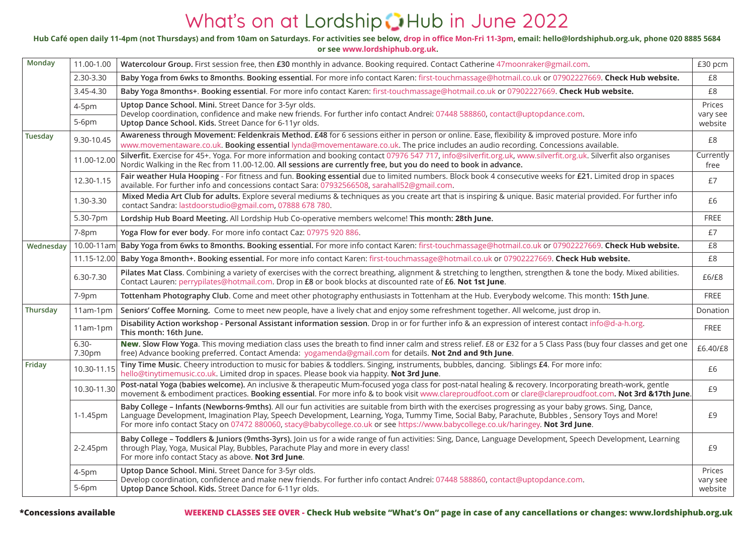# What's on at Lordship **D**Hub in June 2022

#### **Hub Café open daily 11-4pm (not Thursdays) and from 10am on Saturdays. For activities see below, drop in office Mon-Fri 11-3pm, email: hello@lordshiphub.org.uk, phone 020 8885 5684**

**or see www.lordshiphub.org.uk.**

| Monday    | 11.00-1.00         | Watercolour Group. First session free, then £30 monthly in advance. Booking required. Contact Catherine 47 moonraker@gmail.com.                                                                                                                                                                                                                                                                                                                 | £30 pcm                       |
|-----------|--------------------|-------------------------------------------------------------------------------------------------------------------------------------------------------------------------------------------------------------------------------------------------------------------------------------------------------------------------------------------------------------------------------------------------------------------------------------------------|-------------------------------|
|           | 2.30-3.30          | Baby Yoga from 6wks to 8months. Booking essential. For more info contact Karen: first-touchmassage@hotmail.co.uk or 07902227669. Check Hub website.                                                                                                                                                                                                                                                                                             | £8                            |
|           | 3.45-4.30          | Baby Yoga 8months+. Booking essential. For more info contact Karen: first-touchmassage@hotmail.co.uk or 07902227669. Check Hub website.                                                                                                                                                                                                                                                                                                         | £8                            |
|           | 4-5pm<br>5-6pm     | Uptop Dance School. Mini. Street Dance for 3-5yr olds.<br>Develop coordination, confidence and make new friends. For further info contact Andrei: 07448 588860, contact@uptopdance.com.<br>Uptop Dance School. Kids. Street Dance for 6-11yr olds.                                                                                                                                                                                              | Prices<br>vary see<br>website |
| Tuesday   | 9.30-10.45         | Awareness through Movement: Feldenkrais Method. £48 for 6 sessions either in person or online. Ease, flexibility & improved posture. More info<br>www.movementaware.co.uk. Booking essential lynda@movementaware.co.uk. The price includes an audio recording. Concessions available.                                                                                                                                                           | £8                            |
|           | 11.00-12.00        | Silverfit. Exercise for 45+. Yoga. For more information and booking contact 07976 547 717, info@silverfit.org.uk, www.silverfit.org.uk. Silverfit also organises<br>Nordic Walking in the Rec from 11.00-12.00. All sessions are currently free, but you do need to book in advance.                                                                                                                                                            | Currently<br>free             |
|           | 12.30-1.15         | Fair weather Hula Hooping - For fitness and fun. Booking essential due to limited numbers. Block book 4 consecutive weeks for £21. Limited drop in spaces<br>available. For further info and concessions contact Sara: 07932566508, sarahall52@gmail.com.                                                                                                                                                                                       | £7                            |
|           | 1.30-3.30          | Mixed Media Art Club for adults. Explore several mediums & techniques as you create art that is inspiring & unique. Basic material provided. For further info<br>contact Sandra: lastdoorstudio@gmail.com, 07888 678 780.                                                                                                                                                                                                                       | £6                            |
|           | 5.30-7pm           | Lordship Hub Board Meeting. All Lordship Hub Co-operative members welcome! This month: 28th June.                                                                                                                                                                                                                                                                                                                                               | FREE                          |
|           | 7-8pm              | Yoga Flow for ever body. For more info contact Caz: 07975 920 886.                                                                                                                                                                                                                                                                                                                                                                              | £7                            |
| Wednesdav | $10.00 - 11$ am    | Baby Yoga from 6wks to 8months. Booking essential. For more info contact Karen: first-touchmassage@hotmail.co.uk or 07902227669. Check Hub website.                                                                                                                                                                                                                                                                                             | £8                            |
|           | 11.15-12.00        | Baby Yoga 8month+. Booking essential. For more info contact Karen: first-touchmassage@hotmail.co.uk or 07902227669. Check Hub website.                                                                                                                                                                                                                                                                                                          | £8                            |
|           | 6.30-7.30          | Pilates Mat Class. Combining a variety of exercises with the correct breathing, alignment & stretching to lengthen, strengthen & tone the body. Mixed abilities.<br>Contact Lauren: perrypilates@hotmail.com. Drop in £8 or book blocks at discounted rate of £6. Not 1st June.                                                                                                                                                                 | £6/E8                         |
|           | 7-9pm              | Tottenham Photography Club. Come and meet other photography enthusiasts in Tottenham at the Hub. Everybody welcome. This month: 15th June.                                                                                                                                                                                                                                                                                                      | FREE                          |
| Thursday  | $11am-1pm$         | Seniors' Coffee Morning. Come to meet new people, have a lively chat and enjoy some refreshment together. All welcome, just drop in.                                                                                                                                                                                                                                                                                                            | Donation                      |
|           | $11am-1pm$         | Disability Action workshop - Personal Assistant information session. Drop in or for further info & an expression of interest contact info@d-a-h.org.<br>This month: 16th June.                                                                                                                                                                                                                                                                  | FREE                          |
|           | $6.30 -$<br>7.30pm | New. Slow Flow Yoga. This moving mediation class uses the breath to find inner calm and stress relief. £8 or £32 for a 5 Class Pass (buy four classes and get one<br>free) Advance booking preferred. Contact Amenda: yogamenda@gmail.com for details. Not 2nd and 9th June.                                                                                                                                                                    | £6.40/£8                      |
| Friday    | 10.30-11.15        | Tiny Time Music. Cheery introduction to music for babies & toddlers. Singing, instruments, bubbles, dancing. Siblings £4. For more info:<br>hello@tinytimemusic.co.uk. Limited drop in spaces. Please book via happity. Not 3rd June.                                                                                                                                                                                                           | £6                            |
|           | 10.30-11.30        | Post-natal Yoga (babies welcome). An inclusive & therapeutic Mum-focused yoga class for post-natal healing & recovery. Incorporating breath-work, gentle<br>movement & embodiment practices. Booking essential. For more info & to book visit www.clareproudfoot.com or clare@clareproudfoot.com. Not 3rd &17th June.                                                                                                                           | £9                            |
|           | 1-1.45pm           | Baby College - Infants (Newborns-9mths). All our fun activities are suitable from birth with the exercises progressing as your baby grows. Sing, Dance,<br>Language Development, Imagination Play, Speech Development, Learning, Yoga, Tummy Time, Social Baby, Parachute, Bubbles, Sensory Toys and More!<br>For more info contact Stacy on 07472 880060, stacy@babycollege.co.uk or see https://www.babycollege.co.uk/haringey. Not 3rd June. | £9                            |
|           | 2-2.45pm           | Baby College - Toddlers & Juniors (9mths-3yrs). Join us for a wide range of fun activities: Sing, Dance, Language Development, Speech Development, Learning<br>through Play, Yoga, Musical Play, Bubbles, Parachute Play and more in every class!<br>For more info contact Stacy as above. Not 3rd June.                                                                                                                                        | £9                            |
|           | 4-5pm<br>$5-6$ pm  | Uptop Dance School. Mini. Street Dance for 3-5yr olds.<br>Develop coordination, confidence and make new friends. For further info contact Andrei: 07448 588860, contact@uptopdance.com.<br>Uptop Dance School. Kids. Street Dance for 6-11yr olds.                                                                                                                                                                                              | Prices<br>vary see<br>website |